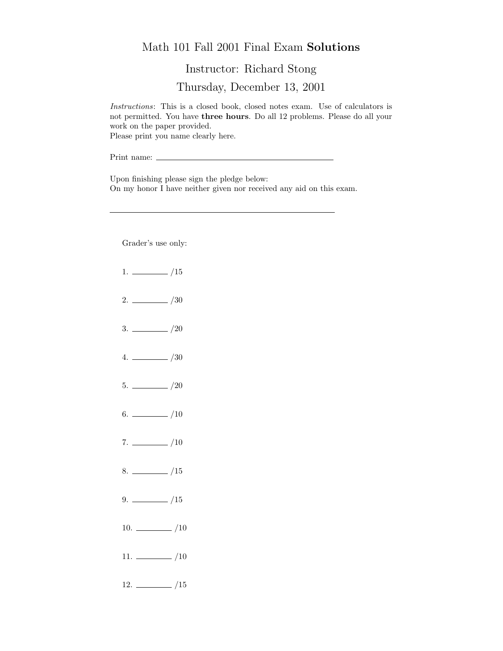## Math 101 Fall 2001 Final Exam Solutions

Instructor: Richard Stong

Thursday, December 13, 2001

Instructions: This is a closed book, closed notes exam. Use of calculators is not permitted. You have three hours. Do all 12 problems. Please do all your work on the paper provided. Please print you name clearly here.

Print name:

Upon finishing please sign the pledge below: On my honor I have neither given nor received any aid on this exam.

Grader's use only:

- $1. \ \_ \ \_ \ \_/15$
- $2. \ \frac{\ }{\ }$  /30
- $3. \ \_/20$
- $4. \ \_ 20$
- $5. \ \_$ /20
- 6.  $\frac{\ }{\ }$  /10
- $7. \ \_/10$
- $8. \ \_$ /15
- $9. \ \_ \ \_ \ /15$
- 10.  $\frac{10}{2}$
- $11. \ \_/10$
- $12. \ \_$ /15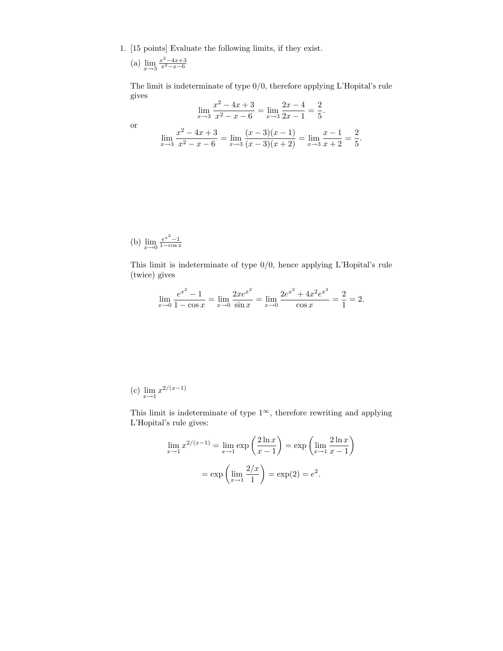1. [15 points] Evaluate the following limits, if they exist.

(a) 
$$
\lim_{x \to 3} \frac{x^2 - 4x + 3}{x^2 - x - 6}
$$

The limit is indeterminate of type 0/0, therefore applying L'Hopital's rule gives  $\overline{2}$  $4x + 2$  $2x + 4$  $\Omega$ 

$$
\lim_{x \to 3} \frac{x^2 - 4x + 3}{x^2 - x - 6} = \lim_{x \to 3} \frac{2x - 4}{2x - 1} = \frac{2}{5}.
$$
  

$$
\lim_{x \to 3} \frac{x^2 - 4x + 3}{x^2 - x - 6} = \lim_{x \to 3} \frac{(x - 3)(x - 1)}{(x - 3)(x + 2)} = \lim_{x \to 3} \frac{x - 1}{x + 2} = \frac{2}{5}.
$$

or

(b) 
$$
\lim_{x \to 0} \frac{e^{x^2} - 1}{1 - \cos x}
$$

This limit is indeterminate of type 0/0, hence applying L'Hopital's rule (twice) gives

$$
\lim_{x \to 0} \frac{e^{x^2} - 1}{1 - \cos x} = \lim_{x \to 0} \frac{2xe^{x^2}}{\sin x} = \lim_{x \to 0} \frac{2e^{x^2} + 4x^2e^{x^2}}{\cos x} = \frac{2}{1} = 2.
$$

(c)  $\lim_{x \to 1} x^{2/(x-1)}$ 

This limit is indeterminate of type  $1^{\infty}$ , therefore rewriting and applying L'Hopital's rule gives:

$$
\lim_{x \to 1} x^{2/(x-1)} = \lim_{x \to 1} \exp\left(\frac{2\ln x}{x-1}\right) = \exp\left(\lim_{x \to 1} \frac{2\ln x}{x-1}\right)
$$

$$
= \exp\left(\lim_{x \to 1} \frac{2/x}{1}\right) = \exp(2) = e^2.
$$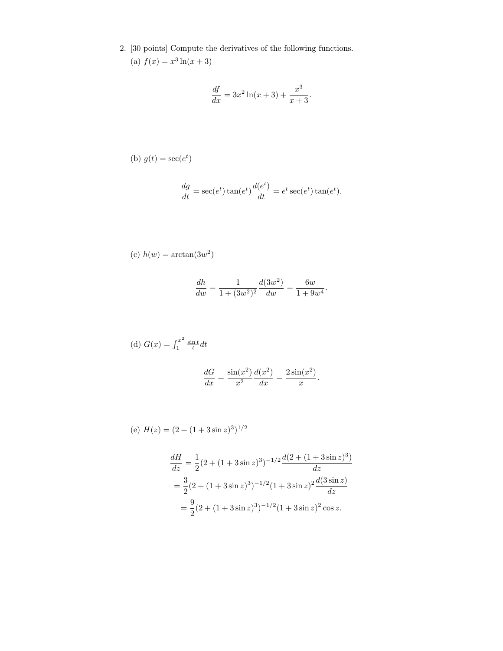2. [30 points] Compute the derivatives of the following functions. (a)  $f(x) = x^3 \ln(x+3)$ 

$$
\frac{df}{dx} = 3x^2 \ln(x+3) + \frac{x^3}{x+3}.
$$

(b) 
$$
g(t) = \sec(e^t)
$$

$$
\frac{dg}{dt} = \sec(e^t)\tan(e^t)\frac{d(e^t)}{dt} = e^t\sec(e^t)\tan(e^t).
$$

(c) 
$$
h(w) = \arctan(3w^2)
$$

$$
\frac{dh}{dw} = \frac{1}{1 + (3w^2)^2} \frac{d(3w^2)}{dw} = \frac{6w}{1 + 9w^4}.
$$

(d) 
$$
G(x) = \int_1^{x^2} \frac{\sin t}{t} dt
$$
  

$$
\frac{dG}{dx} = \frac{\sin(x^2)}{x^2} \frac{d(x^2)}{dx} = \frac{2\sin(x^2)}{x}.
$$

(e) 
$$
H(z) = (2 + (1 + 3\sin z)^3)^{1/2}
$$

$$
\frac{dH}{dz} = \frac{1}{2}(2 + (1 + 3\sin z)^3)^{-1/2} \frac{d(2 + (1 + 3\sin z)^3)}{dz}
$$

$$
= \frac{3}{2}(2 + (1 + 3\sin z)^3)^{-1/2}(1 + 3\sin z)^2 \frac{d(3\sin z)}{dz}
$$

$$
= \frac{9}{2}(2 + (1 + 3\sin z)^3)^{-1/2}(1 + 3\sin z)^2 \cos z.
$$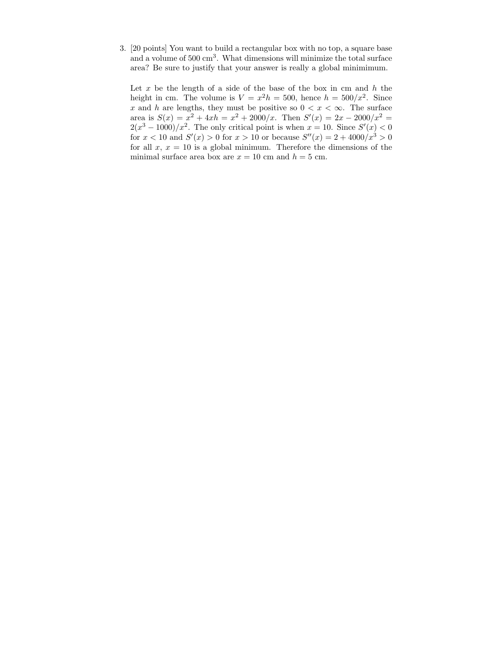3. [20 points] You want to build a rectangular box with no top, a square base and a volume of 500 cm<sup>3</sup>. What dimensions will minimize the total surface area? Be sure to justify that your answer is really a global minimimum.

Let  $x$  be the length of a side of the base of the box in cm and  $h$  the height in cm. The volume is  $V = x^2h = 500$ , hence  $h = 500/x^2$ . Since x and h are lengths, they must be positive so  $0 < x < \infty$ . The surface area is  $S(x) = x^2 + 4xh = x^2 + 2000/x$ . Then  $S'(x) = 2x - 2000/x^2 =$  $2(x^3 - 1000)/x^2$ . The only critical point is when  $x = 10$ . Since  $S'(x) < 0$ for  $x < 10$  and  $S'(x) > 0$  for  $x > 10$  or because  $S''(x) = 2 + 4000/x^3 > 0$ for all  $x, x = 10$  is a global minimum. Therefore the dimensions of the minimal surface area box are  $x = 10$  cm and  $h = 5$  cm.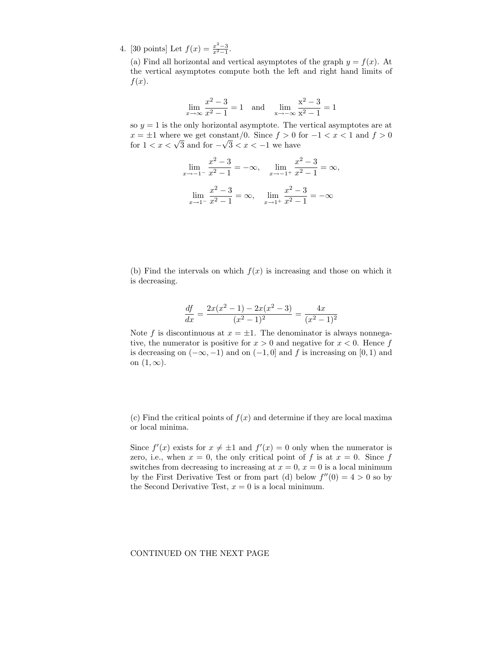4. [30 points] Let  $f(x) = \frac{x^2-3}{x^2-1}$ .

(a) Find all horizontal and vertical asymptotes of the graph  $y = f(x)$ . At the vertical asymptotes compute both the left and right hand limits of  $f(x)$ .

$$
\lim_{x \to \infty} \frac{x^2 - 3}{x^2 - 1} = 1 \quad \text{and} \quad \lim_{x \to -\infty} \frac{x^2 - 3}{x^2 - 1} = 1
$$

so  $y = 1$  is the only horizontal asymptote. The vertical asymptotes are at  $x = \pm 1$  where we get constant/0. Since  $f > 0$  for  $-1 < x < 1$  and  $f > 0$  $x = \pm 1$  where we get constant/0. Since  $f > 0$  if for  $1 < x < \sqrt{3}$  and for  $-\sqrt{3} < x < -1$  we have

$$
\lim_{x \to -1^{-}} \frac{x^2 - 3}{x^2 - 1} = -\infty, \quad \lim_{x \to -1^{+}} \frac{x^2 - 3}{x^2 - 1} = \infty,
$$

$$
\lim_{x \to 1^{-}} \frac{x^2 - 3}{x^2 - 1} = \infty, \quad \lim_{x \to 1^{+}} \frac{x^2 - 3}{x^2 - 1} = -\infty
$$

(b) Find the intervals on which  $f(x)$  is increasing and those on which it is decreasing.

$$
\frac{df}{dx} = \frac{2x(x^2 - 1) - 2x(x^2 - 3)}{(x^2 - 1)^2} = \frac{4x}{(x^2 - 1)^2}
$$

Note f is discontinuous at  $x = \pm 1$ . The denominator is always nonnegative, the numerator is positive for  $x > 0$  and negative for  $x < 0$ . Hence f is decreasing on  $(-\infty, -1)$  and on  $(-1, 0]$  and f is increasing on  $[0, 1)$  and on  $(1, \infty)$ .

(c) Find the critical points of  $f(x)$  and determine if they are local maxima or local minima.

Since  $f'(x)$  exists for  $x \neq \pm 1$  and  $f'(x) = 0$  only when the numerator is zero, i.e., when  $x = 0$ , the only critical point of f is at  $x = 0$ . Since f switches from decreasing to increasing at  $x = 0$ ,  $x = 0$  is a local minimum by the First Derivative Test or from part (d) below  $f''(0) = 4 > 0$  so by the Second Derivative Test,  $x = 0$  is a local minimum.

## CONTINUED ON THE NEXT PAGE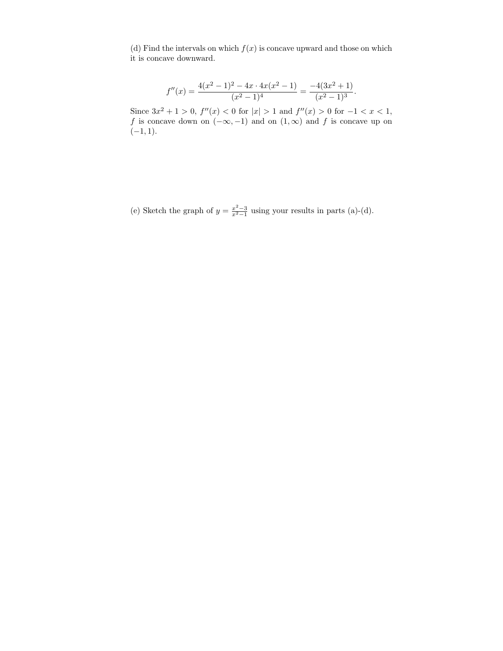(d) Find the intervals on which  $f(x)$  is concave upward and those on which it is concave downward.

$$
f''(x) = \frac{4(x^2 - 1)^2 - 4x \cdot 4x(x^2 - 1)}{(x^2 - 1)^4} = \frac{-4(3x^2 + 1)}{(x^2 - 1)^3}.
$$

Since  $3x^2 + 1 > 0$ ,  $f''(x) < 0$  for  $|x| > 1$  and  $f''(x) > 0$  for  $-1 < x < 1$ , f is concave down on  $(-\infty, -1)$  and on  $(1, \infty)$  and f is concave up on  $(-1, 1).$ 

(e) Sketch the graph of  $y = \frac{x^2-3}{x^2-1}$  using your results in parts (a)-(d).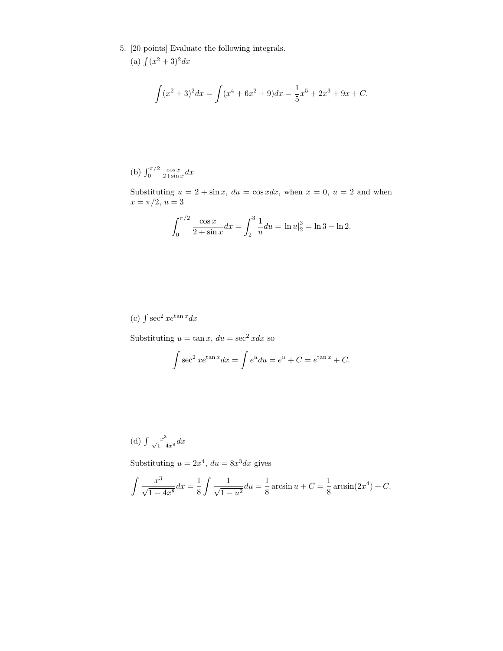5. [20 points] Evaluate the following integrals.

(a) 
$$
\int (x^2 + 3)^2 dx
$$

$$
\int (x^2 + 3)^2 dx = \int (x^4 + 6x^2 + 9) dx = \frac{1}{5}x^5 + 2x^3 + 9x + C.
$$

(b) 
$$
\int_0^{\pi/2} \frac{\cos x}{2 + \sin x} dx
$$

Substituting  $u = 2 + \sin x$ ,  $du = \cos x dx$ , when  $x = 0$ ,  $u = 2$  and when  $x = \pi/2, u = 3$ 

$$
\int_0^{\pi/2} \frac{\cos x}{2 + \sin x} dx = \int_2^3 \frac{1}{u} du = \ln u|_2^3 = \ln 3 - \ln 2.
$$

(c)  $\int \sec^2 x e^{\tan x} dx$ 

Substituting  $u = \tan x$ ,  $du = \sec^2 x dx$  so

$$
\int \sec^2 x e^{\tan x} dx = \int e^u du = e^u + C = e^{\tan x} + C.
$$

(d) 
$$
\int \frac{x^3}{\sqrt{1-4x^8}} dx
$$

Substituting  $u = 2x^4$ ,  $du = 8x^3 dx$  gives

$$
\int \frac{x^3}{\sqrt{1-4x^8}} dx = \frac{1}{8} \int \frac{1}{\sqrt{1-u^2}} du = \frac{1}{8} \arcsin u + C = \frac{1}{8} \arcsin(2x^4) + C.
$$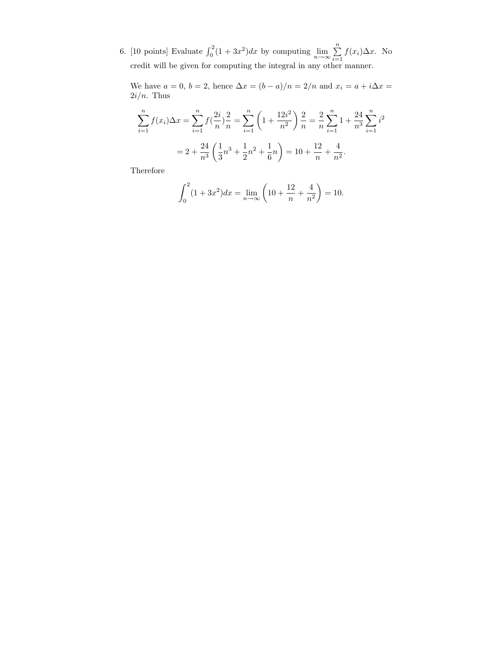6. [10 points] Evaluate  $\int_0^2 (1 + 3x^2) dx$  by computing  $\lim_{n \to \infty} \sum_{i=1}^n$  $\sum_{i=1} f(x_i) \Delta x$ . No credit will be given for computing the integral in any other manner.

We have  $a = 0$ ,  $b = 2$ , hence  $\Delta x = (b - a)/n = 2/n$  and  $x_i = a + i\Delta x =$  $2i/n$ . Thus

$$
\sum_{i=1}^{n} f(x_i) \Delta x = \sum_{i=1}^{n} f(\frac{2i}{n}) \frac{2}{n} = \sum_{i=1}^{n} \left( 1 + \frac{12i^2}{n^2} \right) \frac{2}{n} = \frac{2}{n} \sum_{i=1}^{n} 1 + \frac{24}{n^3} \sum_{i=1}^{n} i^2
$$

$$
= 2 + \frac{24}{n^3} \left( \frac{1}{3} n^3 + \frac{1}{2} n^2 + \frac{1}{6} n \right) = 10 + \frac{12}{n} + \frac{4}{n^2}.
$$

Therefore

$$
\int_0^2 (1+3x^2)dx = \lim_{n \to \infty} \left(10 + \frac{12}{n} + \frac{4}{n^2}\right) = 10.
$$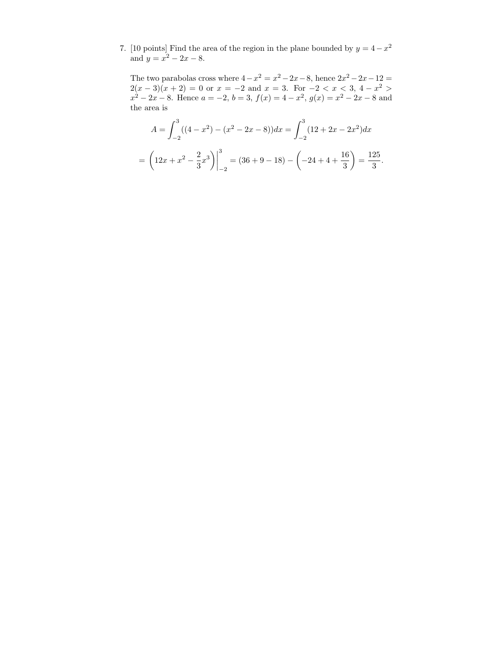7. [10 points] Find the area of the region in the plane bounded by  $y = 4 - x^2$ and  $y = x^2 - 2x - 8$ .

The two parabolas cross where  $4-x^2=x^2-2x-8$ , hence  $2x^2-2x-12=$  $2(x-3)(x+2) = 0$  or  $x = -2$  and  $x = 3$ . For  $-2 < x < 3$ ,  $4-x^2 >$  $x^2 - 2x - 8$ . Hence  $a = -2$ ,  $b = 3$ ,  $f(x) = 4 - x^2$ ,  $g(x) = x^2 - 2x - 8$  and the area is

$$
A = \int_{-2}^{3} ((4 - x^2) - (x^2 - 2x - 8)) dx = \int_{-2}^{3} (12 + 2x - 2x^2) dx
$$
  
=  $\left(12x + x^2 - \frac{2}{3}x^3\right)\Big|_{-2}^{3} = (36 + 9 - 18) - \left(-24 + 4 + \frac{16}{3}\right) = \frac{125}{3}.$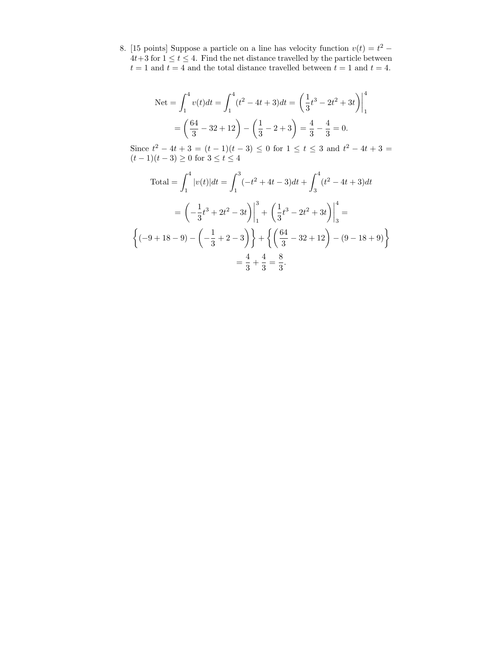8. [15 points] Suppose a particle on a line has velocity function  $v(t) = t^2$  –  $4t+3$  for  $1 \leq t \leq 4$ . Find the net distance travelled by the particle between  $t = 1$  and  $t = 4$  and the total distance travelled between  $t = 1$  and  $t = 4$ .

$$
\text{Net} = \int_1^4 v(t)dt = \int_1^4 (t^2 - 4t + 3)dt = \left(\frac{1}{3}t^3 - 2t^2 + 3t\right)\Big|_1^4
$$

$$
= \left(\frac{64}{3} - 32 + 12\right) - \left(\frac{1}{3} - 2 + 3\right) = \frac{4}{3} - \frac{4}{3} = 0.
$$

Since  $t^2 - 4t + 3 = (t - 1)(t - 3) \le 0$  for  $1 \le t \le 3$  and  $t^2 - 4t + 3 =$  $(t-1)(t-3) \ge 0$  for  $3 \le t \le 4$ 

Total = 
$$
\int_1^4 |v(t)| dt = \int_1^3 (-t^2 + 4t - 3) dt + \int_3^4 (t^2 - 4t + 3) dt
$$
  
\n=  $\left(-\frac{1}{3}t^3 + 2t^2 - 3t\right)\Big|_1^3 + \left(\frac{1}{3}t^3 - 2t^2 + 3t\right)\Big|_3^4 =$   
\n $\left\{(-9 + 18 - 9) - \left(-\frac{1}{3} + 2 - 3\right)\right\} + \left\{ \left(\frac{64}{3} - 32 + 12\right) - (9 - 18 + 9)\right\}$   
\n=  $\frac{4}{3} + \frac{4}{3} = \frac{8}{3}.$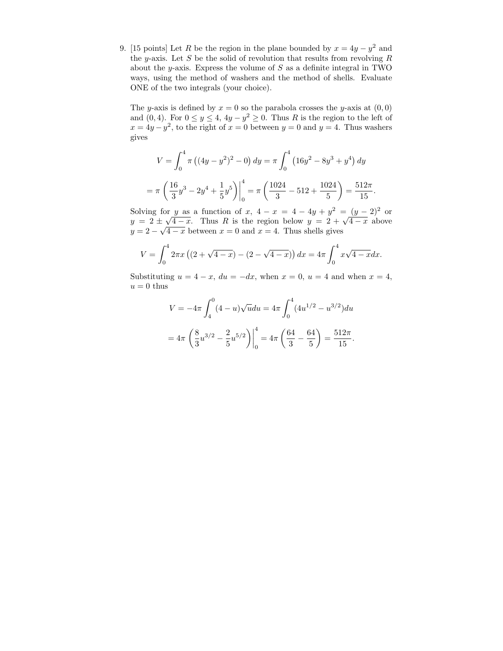9. [15 points] Let R be the region in the plane bounded by  $x = 4y - y^2$  and the y-axis. Let S be the solid of revolution that results from revolving  $R$ about the y-axis. Express the volume of  $S$  as a definite integral in TWO ways, using the method of washers and the method of shells. Evaluate ONE of the two integrals (your choice).

The y-axis is defined by  $x = 0$  so the parabola crosses the y-axis at  $(0, 0)$ and  $(0, 4)$ . For  $0 \le y \le 4$ ,  $4y - y^2 \ge 0$ . Thus R is the region to the left of  $x = 4y - y^2$ , to the right of  $x = 0$  between  $y = 0$  and  $y = 4$ . Thus washers gives

$$
V = \int_0^4 \pi \left( (4y - y^2)^2 - 0 \right) dy = \pi \int_0^4 \left( 16y^2 - 8y^3 + y^4 \right) dy
$$

$$
= \pi \left( \frac{16}{3}y^3 - 2y^4 + \frac{1}{5}y^5 \right) \Big|_0^4 = \pi \left( \frac{1024}{3} - 512 + \frac{1024}{5} \right) = \frac{512\pi}{15}
$$

.

Solving for y as a function of x,  $4-x = 4-4y+y^2 = (y-2)^2$  or Solving for y as a function of x,  $4 - x = 4 - 4y + y^2 = (y - 2)^2$  or  $y = 2 \pm \sqrt{4 - x}$ . Thus R is the region below  $y = 2 + \sqrt{4 - x}$  above  $y = 2 \pm \sqrt{4-x}$ . Thus K is the region below  $y = 2 + \sqrt{4-x}$  between  $x = 0$  and  $x = 4$ . Thus shells gives

$$
V = \int_0^4 2\pi x \left( (2 + \sqrt{4 - x}) - (2 - \sqrt{4 - x}) \right) dx = 4\pi \int_0^4 x \sqrt{4 - x} dx.
$$

Substituting  $u = 4 - x$ ,  $du = -dx$ , when  $x = 0$ ,  $u = 4$  and when  $x = 4$ ,  $u = 0$  thus

$$
V = -4\pi \int_4^0 (4 - u)\sqrt{u} du = 4\pi \int_0^4 (4u^{1/2} - u^{3/2}) du
$$
  
=  $4\pi \left(\frac{8}{3}u^{3/2} - \frac{2}{5}u^{5/2}\right)\Big|_0^4 = 4\pi \left(\frac{64}{3} - \frac{64}{5}\right) = \frac{512\pi}{15}.$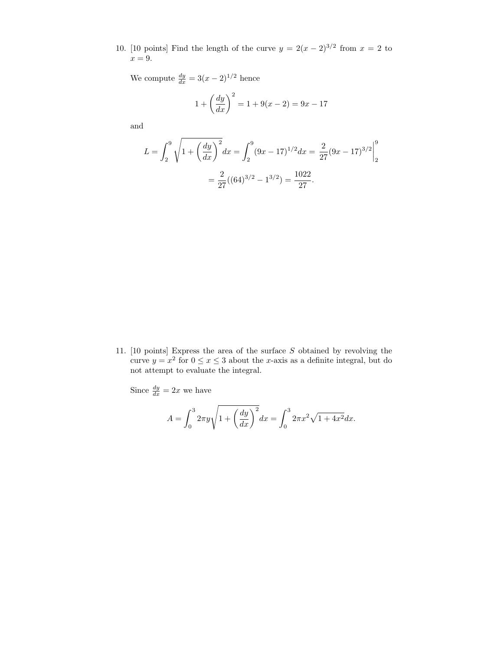10. [10 points] Find the length of the curve  $y = 2(x - 2)^{3/2}$  from  $x = 2$  to  $x = 9$ .

We compute  $\frac{dy}{dx} = 3(x-2)^{1/2}$  hence

$$
1 + \left(\frac{dy}{dx}\right)^2 = 1 + 9(x - 2) = 9x - 17
$$

and

$$
L = \int_2^9 \sqrt{1 + \left(\frac{dy}{dx}\right)^2} dx = \int_2^9 (9x - 17)^{1/2} dx = \frac{2}{27} (9x - 17)^{3/2} \Big|_2^9
$$
  
=  $\frac{2}{27} ((64)^{3/2} - 1^{3/2}) = \frac{1022}{27}.$ 

11. [10 points] Express the area of the surface S obtained by revolving the curve  $y = x^2$  for  $0 \le x \le 3$  about the x-axis as a definite integral, but do not attempt to evaluate the integral.

Since  $\frac{dy}{dx} = 2x$  we have

$$
A = \int_0^3 2\pi y \sqrt{1 + \left(\frac{dy}{dx}\right)^2} dx = \int_0^3 2\pi x^2 \sqrt{1 + 4x^2} dx.
$$